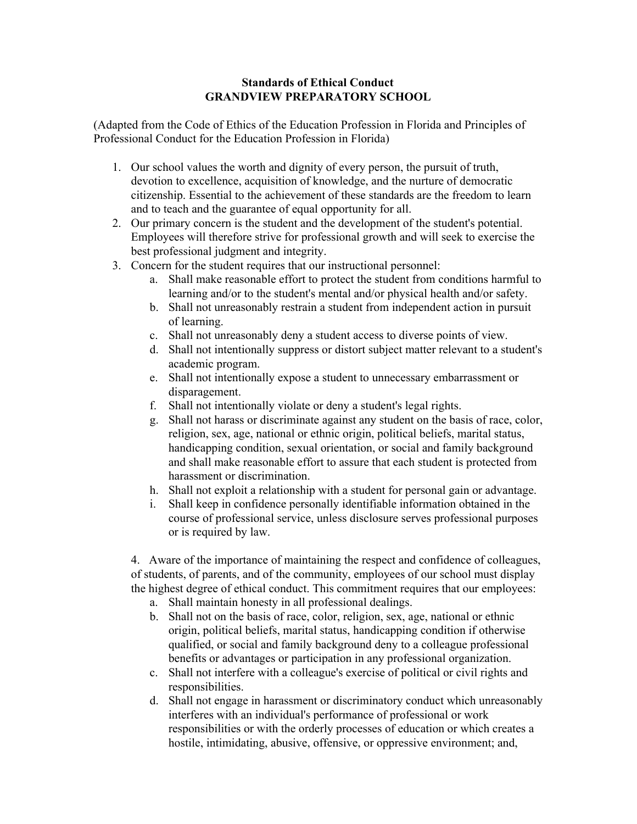## **Standards of Ethical Conduct GRANDVIEW PREPARATORY SCHOOL**

(Adapted from the Code of Ethics of the Education Profession in Florida and Principles of Professional Conduct for the Education Profession in Florida)

- 1. Our school values the worth and dignity of every person, the pursuit of truth, devotion to excellence, acquisition of knowledge, and the nurture of democratic citizenship. Essential to the achievement of these standards are the freedom to learn and to teach and the guarantee of equal opportunity for all.
- 2. Our primary concern is the student and the development of the student's potential. Employees will therefore strive for professional growth and will seek to exercise the best professional judgment and integrity.
- 3. Concern for the student requires that our instructional personnel:
	- a. Shall make reasonable effort to protect the student from conditions harmful to learning and/or to the student's mental and/or physical health and/or safety.
	- b. Shall not unreasonably restrain a student from independent action in pursuit of learning.
	- c. Shall not unreasonably deny a student access to diverse points of view.
	- d. Shall not intentionally suppress or distort subject matter relevant to a student's academic program.
	- e. Shall not intentionally expose a student to unnecessary embarrassment or disparagement.
	- f. Shall not intentionally violate or deny a student's legal rights.
	- g. Shall not harass or discriminate against any student on the basis of race, color, religion, sex, age, national or ethnic origin, political beliefs, marital status, handicapping condition, sexual orientation, or social and family background and shall make reasonable effort to assure that each student is protected from harassment or discrimination.
	- h. Shall not exploit a relationship with a student for personal gain or advantage.
	- i. Shall keep in confidence personally identifiable information obtained in the course of professional service, unless disclosure serves professional purposes or is required by law.

4. Aware of the importance of maintaining the respect and confidence of colleagues, of students, of parents, and of the community, employees of our school must display the highest degree of ethical conduct. This commitment requires that our employees:

- a. Shall maintain honesty in all professional dealings.
- b. Shall not on the basis of race, color, religion, sex, age, national or ethnic origin, political beliefs, marital status, handicapping condition if otherwise qualified, or social and family background deny to a colleague professional benefits or advantages or participation in any professional organization.
- c. Shall not interfere with a colleague's exercise of political or civil rights and responsibilities.
- d. Shall not engage in harassment or discriminatory conduct which unreasonably interferes with an individual's performance of professional or work responsibilities or with the orderly processes of education or which creates a hostile, intimidating, abusive, offensive, or oppressive environment; and,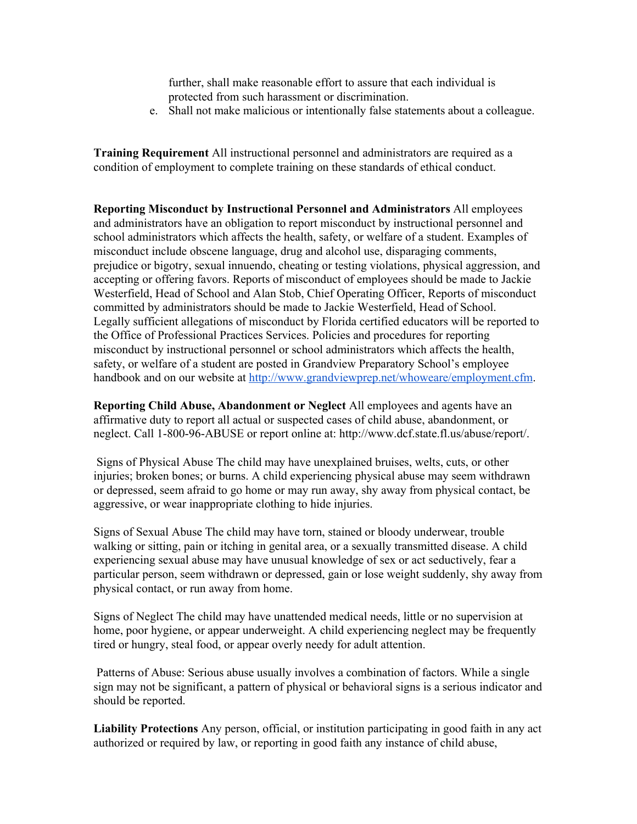further, shall make reasonable effort to assure that each individual is protected from such harassment or discrimination.

e. Shall not make malicious or intentionally false statements about a colleague.

**Training Requirement** All instructional personnel and administrators are required as a condition of employment to complete training on these standards of ethical conduct.

**Reporting Misconduct by Instructional Personnel and Administrators** All employees and administrators have an obligation to report misconduct by instructional personnel and school administrators which affects the health, safety, or welfare of a student. Examples of misconduct include obscene language, drug and alcohol use, disparaging comments, prejudice or bigotry, sexual innuendo, cheating or testing violations, physical aggression, and accepting or offering favors. Reports of misconduct of employees should be made to Jackie Westerfield, Head of School and Alan Stob, Chief Operating Officer, Reports of misconduct committed by administrators should be made to Jackie Westerfield, Head of School. Legally sufficient allegations of misconduct by Florida certified educators will be reported to the Office of Professional Practices Services. Policies and procedures for reporting misconduct by instructional personnel or school administrators which affects the health, safety, or welfare of a student are posted in Grandview Preparatory School's employee handbook and on our website at <http://www.grandviewprep.net/whoweare/employment.cfm>.

**Reporting Child Abuse, Abandonment or Neglect** All employees and agents have an affirmative duty to report all actual or suspected cases of child abuse, abandonment, or neglect. Call 1-800-96-ABUSE or report online at: http://www.dcf.state.fl.us/abuse/report/.

Signs of Physical Abuse The child may have unexplained bruises, welts, cuts, or other injuries; broken bones; or burns. A child experiencing physical abuse may seem withdrawn or depressed, seem afraid to go home or may run away, shy away from physical contact, be aggressive, or wear inappropriate clothing to hide injuries.

Signs of Sexual Abuse The child may have torn, stained or bloody underwear, trouble walking or sitting, pain or itching in genital area, or a sexually transmitted disease. A child experiencing sexual abuse may have unusual knowledge of sex or act seductively, fear a particular person, seem withdrawn or depressed, gain or lose weight suddenly, shy away from physical contact, or run away from home.

Signs of Neglect The child may have unattended medical needs, little or no supervision at home, poor hygiene, or appear underweight. A child experiencing neglect may be frequently tired or hungry, steal food, or appear overly needy for adult attention.

Patterns of Abuse: Serious abuse usually involves a combination of factors. While a single sign may not be significant, a pattern of physical or behavioral signs is a serious indicator and should be reported.

**Liability Protections** Any person, official, or institution participating in good faith in any act authorized or required by law, or reporting in good faith any instance of child abuse,